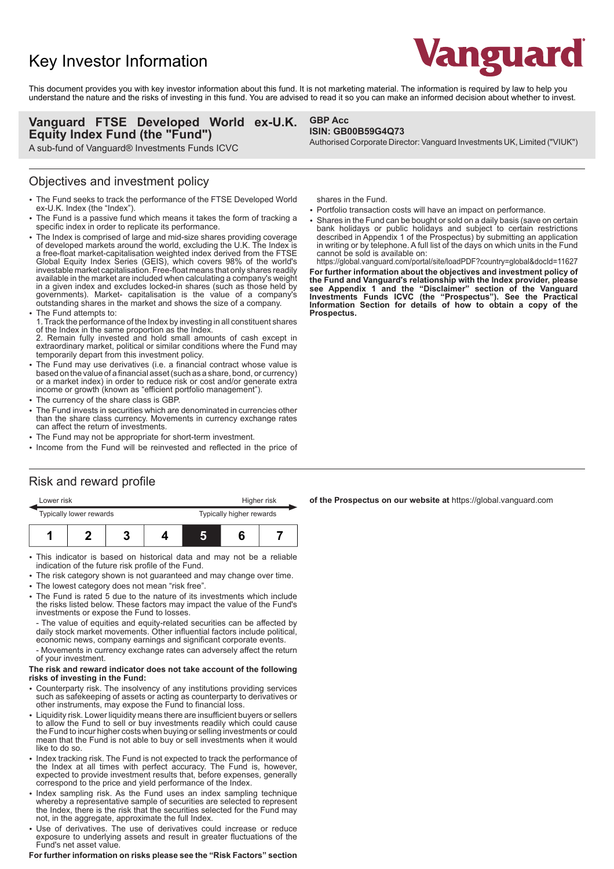# Key Investor Information



This document provides you with key investor information about this fund. It is not marketing material. The information is required by law to help you understand the nature and the risks of investing in this fund. You are advised to read it so you can make an informed decision about whether to invest.

**GBP Acc**

### **Vanguard FTSE Developed World ex-U.K. Equity Index Fund (the "Fund")**

A sub-fund of Vanguard® Investments Funds ICVC

### Objectives and investment policy

- 2 The Fund seeks to track the performance of the FTSE Developed World ex-U.K. Index (the "Index").
- The Fund is a passive fund which means it takes the form of tracking a specific index in order to replicate its performance.
- The Index is comprised of large and mid-size shares providing coverage of developed markets around the world, excluding the U.K. The Index is a free-float market-capitalisation weighted index derived from the FTSE Global Equity Index Series (GEIS), which covers 98% of the world's investable market capitalisation. Free-float means that only shares readily available in the market are included when calculating a company's weight in a given index and excludes locked-in shares (such as those held by governments). Market- capitalisation is the value of a company's outstanding shares in the market and shows the size of a company.
- The Fund attempts to:

1. Track the performance of the Index by investing in all constituent shares of the Index in the same proportion as the Index.

2. Remain fully invested and hold small amounts of cash except in extraordinary market, political or similar conditions where the Fund may temporarily depart from this investment policy.

- The Fund may use derivatives (i.e. a financial contract whose value is based on the value of a financial asset (such as a share, bond, or currency) or a market index) in order to reduce risk or cost and/or generate extra income or growth (known as "efficient portfolio management").
- The currency of the share class is GBP.
- The Fund invests in securities which are denominated in currencies other than the share class currency. Movements in currency exchange rates can affect the return of investments.
- The Fund may not be appropriate for short-term investment.
- Income from the Fund will be reinvested and reflected in the price of

shares in the Fund.

**ISIN: GB00B59G4Q73**

- Portfolio transaction costs will have an impact on performance.
- Shares in the Fund can be bought or sold on a daily basis (save on certain bank holidays or public holidays and subject to certain restrictions described in Appendix 1 of the Prospectus) by submitting an application in writing or by telephone. A full list of the days on which units in the Fund cannot be sold is available on:

Authorised Corporate Director: Vanguard Investments UK, Limited ("VIUK")

https://global.vanguard.com/portal/site/loadPDF?country=global&docId=11627 **For further information about the objectives and investment policy of the Fund and Vanguard's relationship with the Index provider, please see Appendix 1 and the "Disclaimer" section of the Vanguard Investments Funds ICVC (the "Prospectus"). See the Practical Information Section for details of how to obtain a copy of the Prospectus.**

### Risk and reward profile

| Lower risk              |  |  |  | Higher risk              |  |  |
|-------------------------|--|--|--|--------------------------|--|--|
| Typically lower rewards |  |  |  | Typically higher rewards |  |  |
|                         |  |  |  | 5                        |  |  |

- This indicator is based on historical data and may not be a reliable indication of the future risk profile of the Fund.
- The risk category shown is not guaranteed and may change over time.
- The lowest category does not mean "risk free".
- 2 The Fund is rated 5 due to the nature of its investments which include the risks listed below. These factors may impact the value of the Fund's investments or expose the Fund to losses.

- The value of equities and equity-related securities can be affected by daily stock market movements. Other influential factors include political, economic news, company earnings and significant corporate events.

- Movements in currency exchange rates can adversely affect the return of your investment.

#### **The risk and reward indicator does not take account of the following risks of investing in the Fund:**

- 2 Counterparty risk. The insolvency of any institutions providing services such as safekeeping of assets or acting as counterparty to derivatives or other instruments, may expose the Fund to financial loss.
- Liquidity risk. Lower liquidity means there are insufficient buyers or sellers to allow the Fund to sell or buy investments readily which could cause the Fund to incur higher costs when buying or selling investments or could mean that the Fund is not able to buy or sell investments when it would like to do so.
- Index tracking risk. The Fund is not expected to track the performance of the Index at all times with perfect accuracy. The Fund is, however, expected to provide investment results that, before expenses, generally correspond to the price and yield performance of the Index.
- Index sampling risk. As the Fund uses an index sampling technique whereby a representative sample of securities are selected to represent the Index, there is the risk that the securities selected for the Fund may not, in the aggregate, approximate the full Index.
- Use of derivatives. The use of derivatives could increase or reduce exposure to underlying assets and result in greater fluctuations of the Fund's net asset value.

**For further information on risks please see the "Risk Factors" section**

**of the Prospectus on our website at** https://global.vanguard.com